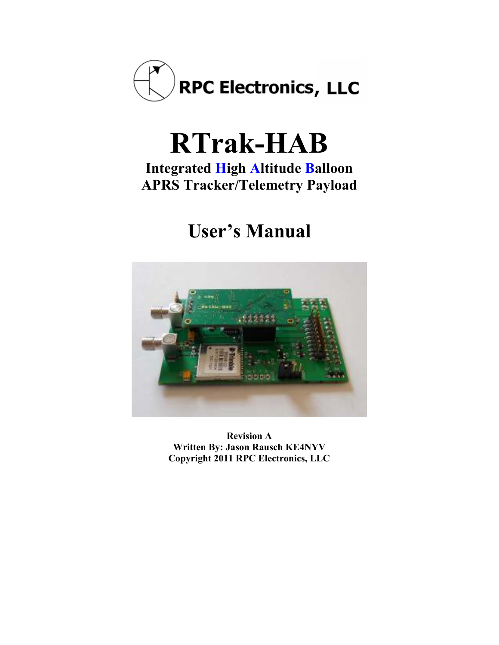

# **RTrak-HAB**

### **Integrated High Altitude Balloon APRS Tracker/Telemetry Payload**

# **User's Manual**



**Revision A Written By: Jason Rausch KE4NYV Copyright 2011 RPC Electronics, LLC**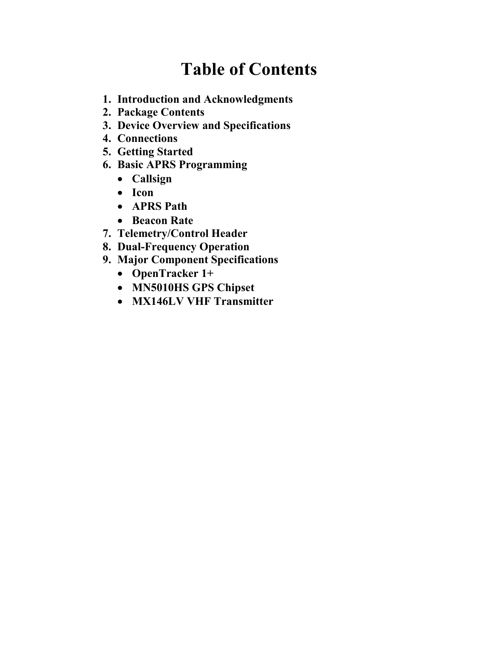### **Table of Contents**

- **1. Introduction and Acknowledgments**
- **2. Package Contents**
- **3. Device Overview and Specifications**
- **4. Connections**
- **5. Getting Started**
- **6. Basic APRS Programming** 
	- **Callsign**
	- **Icon**
	- **APRS Path**
	- **Beacon Rate**
- **7. Telemetry/Control Header**
- **8. Dual-Frequency Operation**
- **9. Major Component Specifications** 
	- **OpenTracker 1+**
	- **M'5010HS GPS Chipset**
	- **MX146LV VHF Transmitter**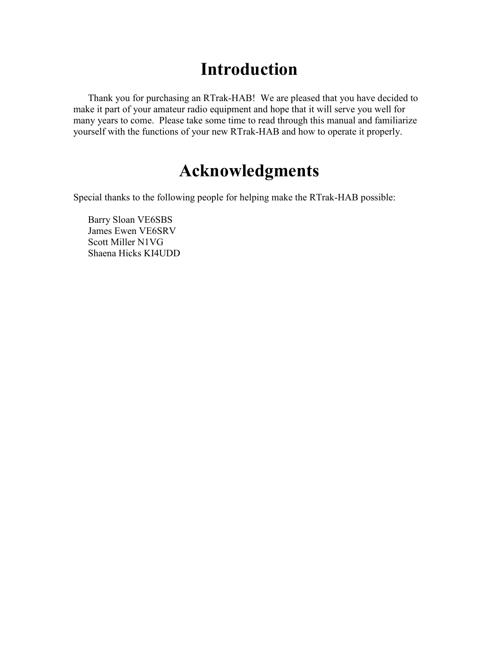### **Introduction**

Thank you for purchasing an RTrak-HAB! We are pleased that you have decided to make it part of your amateur radio equipment and hope that it will serve you well for many years to come. Please take some time to read through this manual and familiarize yourself with the functions of your new RTrak-HAB and how to operate it properly.

### **Acknowledgments**

Special thanks to the following people for helping make the RTrak-HAB possible:

Barry Sloan VE6SBS James Ewen VE6SRV Scott Miller N1VG Shaena Hicks KI4UDD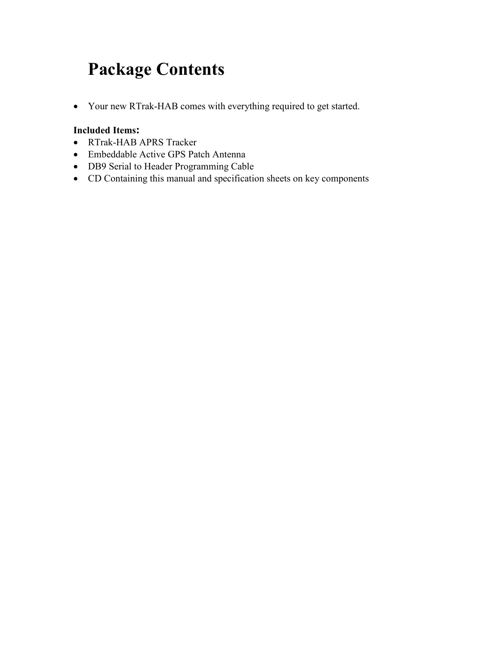### **Package Contents**

• Your new RTrak-HAB comes with everything required to get started.

#### **Included Items:**

- RTrak-HAB APRS Tracker
- Embeddable Active GPS Patch Antenna
- DB9 Serial to Header Programming Cable
- CD Containing this manual and specification sheets on key components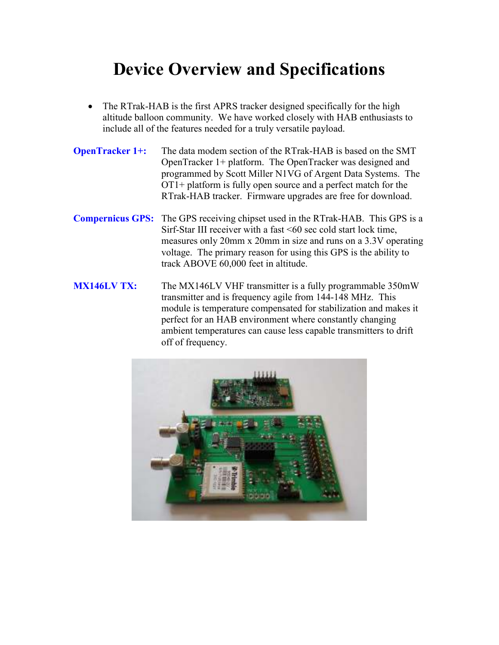### **Device Overview and Specifications**

- The RTrak-HAB is the first APRS tracker designed specifically for the high altitude balloon community. We have worked closely with HAB enthusiasts to include all of the features needed for a truly versatile payload.
- **OpenTracker 1+:** The data modem section of the RTrak-HAB is based on the SMT OpenTracker 1+ platform. The OpenTracker was designed and programmed by Scott Miller N1VG of Argent Data Systems. The OT1+ platform is fully open source and a perfect match for the RTrak-HAB tracker. Firmware upgrades are free for download.
- **Compernicus GPS:** The GPS receiving chipset used in the RTrak-HAB. This GPS is a Sirf-Star III receiver with a fast <60 sec cold start lock time, measures only 20mm x 20mm in size and runs on a 3.3V operating voltage. The primary reason for using this GPS is the ability to track ABOVE 60,000 feet in altitude.
- **MX146LV TX:** The MX146LV VHF transmitter is a fully programmable 350mW transmitter and is frequency agile from 144-148 MHz. This module is temperature compensated for stabilization and makes it perfect for an HAB environment where constantly changing ambient temperatures can cause less capable transmitters to drift off of frequency.

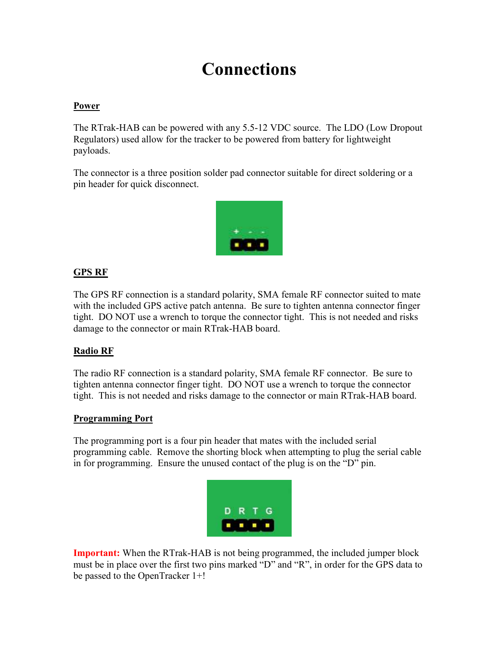### **Connections**

#### **Power**

The RTrak-HAB can be powered with any 5.5-12 VDC source. The LDO (Low Dropout Regulators) used allow for the tracker to be powered from battery for lightweight payloads.

The connector is a three position solder pad connector suitable for direct soldering or a pin header for quick disconnect.



#### **GPS RF**

The GPS RF connection is a standard polarity, SMA female RF connector suited to mate with the included GPS active patch antenna. Be sure to tighten antenna connector finger tight. DO NOT use a wrench to torque the connector tight. This is not needed and risks damage to the connector or main RTrak-HAB board.

#### **Radio RF**

The radio RF connection is a standard polarity, SMA female RF connector. Be sure to tighten antenna connector finger tight. DO NOT use a wrench to torque the connector tight. This is not needed and risks damage to the connector or main RTrak-HAB board.

#### **Programming Port**

The programming port is a four pin header that mates with the included serial programming cable. Remove the shorting block when attempting to plug the serial cable in for programming. Ensure the unused contact of the plug is on the "D" pin.



**Important:** When the RTrak-HAB is not being programmed, the included jumper block must be in place over the first two pins marked "D" and "R", in order for the GPS data to be passed to the OpenTracker 1+!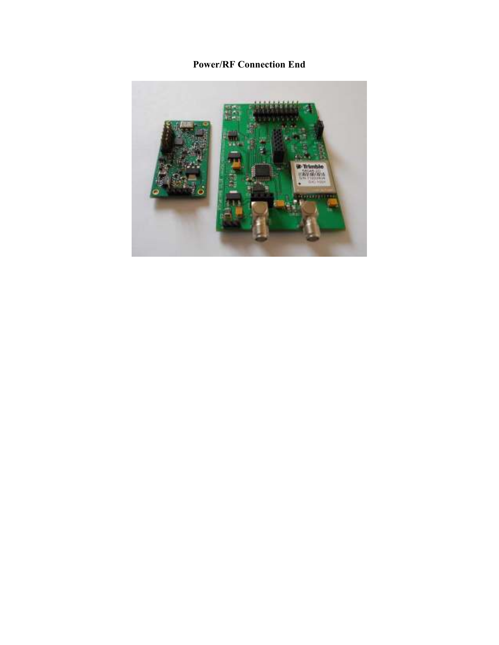#### **Power/RF Connection End**

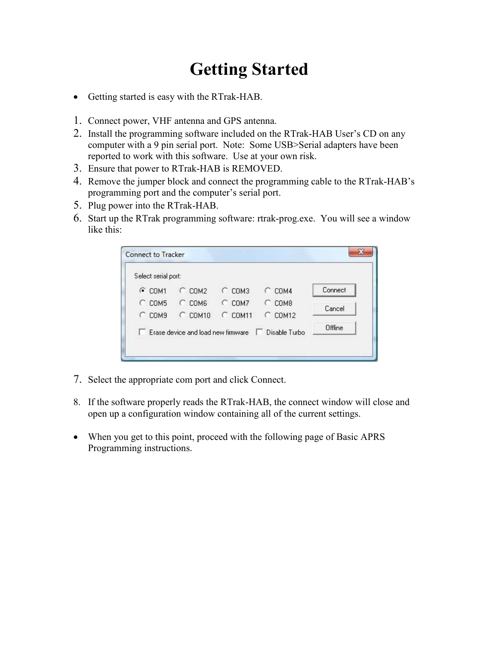## **Getting Started**

- Getting started is easy with the RTrak-HAB.
- 1. Connect power, VHF antenna and GPS antenna.
- 2. Install the programming software included on the RTrak-HAB User's CD on any computer with a 9 pin serial port. Note: Some USB>Serial adapters have been reported to work with this software. Use at your own risk.
- 3. Ensure that power to RTrak-HAB is REMOVED.
- 4. Remove the jumper block and connect the programming cable to the RTrak-HAB's programming port and the computer's serial port.
- 5. Plug power into the RTrak-HAB.
- 6. Start up the RTrak programming software: rtrak-prog.exe. You will see a window like this:

| Select serial port:  |                                    |            |                      |         |
|----------------------|------------------------------------|------------|----------------------|---------|
| $G$ COM1             | $C$ COM2                           | COM3<br>C. | COM4                 | Connect |
| $C$ COM5             | $C$ COM6                           | $C$ COM7   | COM <sub>8</sub>     | Cancel  |
| $C$ COM <sub>9</sub> | $C$ COM10                          | $C$ COM11  | <b>COM12</b><br>o    |         |
|                      | Erase device and load new firmware |            | Disable Turbo<br>. . | Offline |

- 7. Select the appropriate com port and click Connect.
- 8. If the software properly reads the RTrak-HAB, the connect window will close and open up a configuration window containing all of the current settings.
- When you get to this point, proceed with the following page of Basic APRS Programming instructions.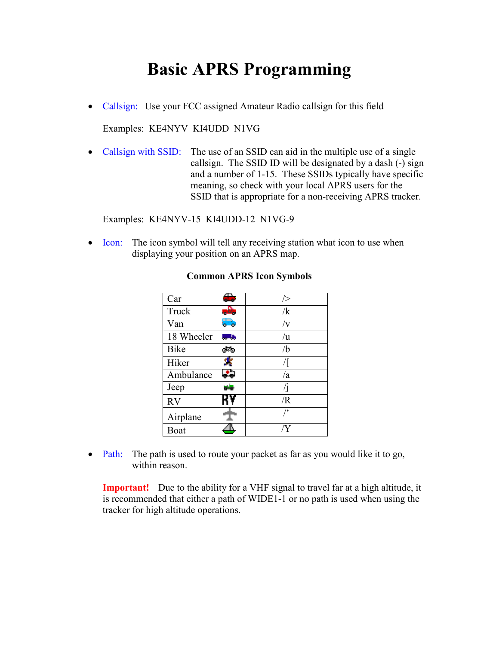### **Basic APRS Programming**

• Callsign: Use your FCC assigned Amateur Radio callsign for this field

Examples: KE4NYV KI4UDD N1VG

• Callsign with SSID: The use of an SSID can aid in the multiple use of a single callsign. The SSID ID will be designated by a dash (-) sign and a number of 1-15. These SSIDs typically have specific meaning, so check with your local APRS users for the SSID that is appropriate for a non-receiving APRS tracker.

Examples: KE4NYV-15 KI4UDD-12 N1VG-9

• Icon: The icon symbol will tell any receiving station what icon to use when displaying your position on an APRS map.

| Car         | 77          | />             |
|-------------|-------------|----------------|
| Truck       | دهم         | /k             |
| Van         | ా           | $/ {\rm v}$    |
| 18 Wheeler  | <b>Alle</b> | /u             |
| <b>Bike</b> | ಿಸಲ         | /b             |
| Hiker       |             |                |
| Ambulance   | e.          | /a             |
| Jeep        | ويلووا      | $\overline{1}$ |
| <b>RV</b>   | R٧          | /R             |
| Airplane    |             | $^{\prime}$    |
| Boat        |             |                |

#### **Common APRS Icon Symbols**

• Path: The path is used to route your packet as far as you would like it to go, within reason.

**Important!** Due to the ability for a VHF signal to travel far at a high altitude, it is recommended that either a path of WIDE1-1 or no path is used when using the tracker for high altitude operations.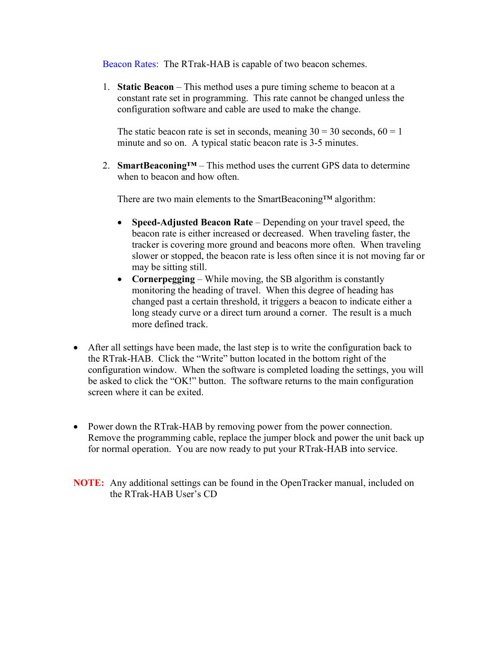Beacon Rates: The RTrak-HAB is capable of two beacon schemes.

1. **Static Beacon** – This method uses a pure timing scheme to beacon at a constant rate set in programming. This rate cannot be changed unless the configuration software and cable are used to make the change.

The static beacon rate is set in seconds, meaning  $30 = 30$  seconds,  $60 = 1$ minute and so on. A typical static beacon rate is 3-5 minutes.

2. **SmartBeaconing™** – This method uses the current GPS data to determine when to beacon and how often.

There are two main elements to the SmartBeaconing™ algorithm:

- **Speed-Adjusted Beacon Rate** Depending on your travel speed, the beacon rate is either increased or decreased. When traveling faster, the tracker is covering more ground and beacons more often. When traveling slower or stopped, the beacon rate is less often since it is not moving far or may be sitting still.
- **Cornerpegging** While moving, the SB algorithm is constantly monitoring the heading of travel. When this degree of heading has changed past a certain threshold, it triggers a beacon to indicate either a long steady curve or a direct turn around a corner. The result is a much more defined track.
- After all settings have been made, the last step is to write the configuration back to the RTrak-HAB. Click the "Write" button located in the bottom right of the configuration window. When the software is completed loading the settings, you will be asked to click the "OK!" button. The software returns to the main configuration screen where it can be exited.
- Power down the RTrak-HAB by removing power from the power connection. Remove the programming cable, replace the jumper block and power the unit back up for normal operation. You are now ready to put your RTrak-HAB into service.
- **NOTE:** Any additional settings can be found in the OpenTracker manual, included on the RTrak-HAB User's CD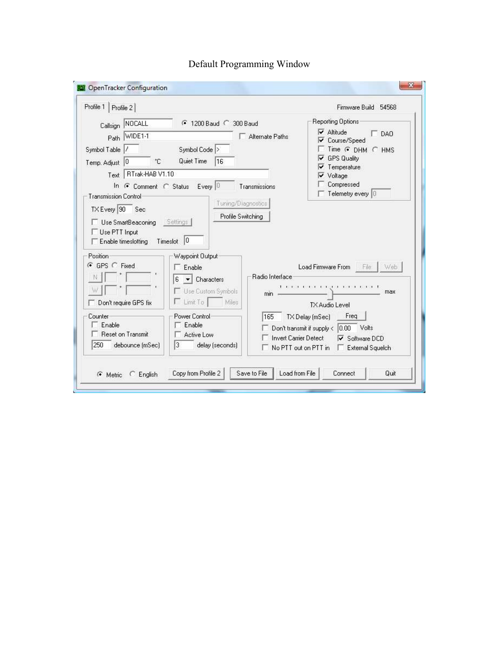| Profile 1   Profile 2                                                                                                                       |                                                                                                                                        |                                     | Firmware Build 54568                                                                                                            |
|---------------------------------------------------------------------------------------------------------------------------------------------|----------------------------------------------------------------------------------------------------------------------------------------|-------------------------------------|---------------------------------------------------------------------------------------------------------------------------------|
| Callsign NOCALL<br>Path WIDE1-1<br>Symbol Table /<br>$^{\circ}$ C<br>Temp. Adjust 0                                                         | <b>€</b> 1200 Baud € 300 Baud<br>Symbol Code ><br>Quiet Time<br>16                                                                     | Alternate Paths                     | Reporting Options<br>$\nabla$ Altitude<br>$\Gamma$ DAO<br>Course/Speed<br>Time G DHM C HMS<br><b>GPS Quality</b><br>Temperature |
| Text RTrak-HAB V1.10<br><b>Transmission Control</b><br>TX Every 90 Sec<br>Use SmartBeaconing<br>Use PTT Input<br>$\Box$ Enable timeslotting | In G Comment C Status Every 0<br>Profile Switching<br>Settings<br>Timeslot 0                                                           | Transmissions<br>Tuning/Diagnostics | Voltage<br>Compressed<br>Telemetry every 0                                                                                      |
| Position-<br>G GPS C Fixed<br>Don't require GPS fix                                                                                         | Waypoint Output<br>$\Gamma$ Enable<br>$\blacktriangleright$ Characters<br>6<br>Use Custom Symbols<br>$\Gamma$ Limit To<br><b>Miles</b> | Radio Interface<br>min              | Load Firmware From File<br>Web<br>I KIND KIND KIND I KIND KIND I<br>max<br>TX Audio Level                                       |
| Counter<br>Enable                                                                                                                           | Power Control-<br>Enable<br>Active Low                                                                                                 | 165<br><b>Invert Carrier Detect</b> | Freq<br>TX Delay (mSec)<br>$0.00$ Volts<br>Don't transmit if supply <<br><b>▽</b> Software DCD                                  |

### Default Programming Window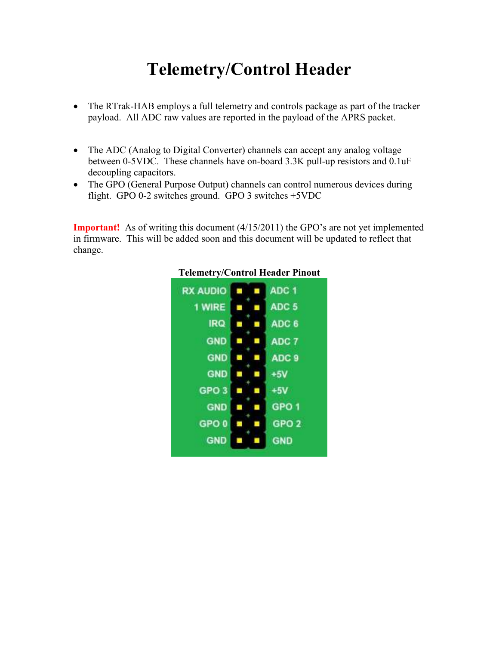### **Telemetry/Control Header**

- The RTrak-HAB employs a full telemetry and controls package as part of the tracker payload. All ADC raw values are reported in the payload of the APRS packet.
- The ADC (Analog to Digital Converter) channels can accept any analog voltage between 0-5VDC. These channels have on-board 3.3K pull-up resistors and 0.1uF decoupling capacitors.
- The GPO (General Purpose Output) channels can control numerous devices during flight. GPO 0-2 switches ground. GPO 3 switches +5VDC

**Important!** As of writing this document (4/15/2011) the GPO's are not yet implemented in firmware. This will be added soon and this document will be updated to reflect that change.



#### **Telemetry/Control Header Pinout**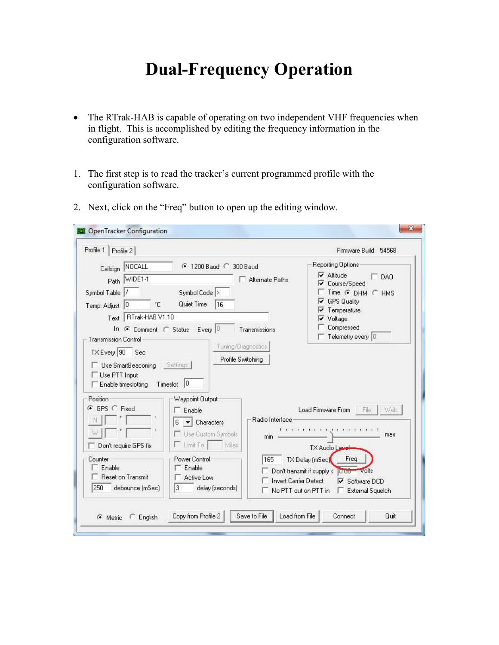## **Dual-Frequency Operation**

- The RTrak-HAB is capable of operating on two independent VHF frequencies when in flight. This is accomplished by editing the frequency information in the configuration software.
- 1. The first step is to read the tracker's current programmed profile with the configuration software.
- 2. Next, click on the "Freq" button to open up the editing window.

|                                       | Callsign NOCALL               | 4 1200 Baud C 300 Baud                |                 |                              | Reporting Options                                                 |
|---------------------------------------|-------------------------------|---------------------------------------|-----------------|------------------------------|-------------------------------------------------------------------|
|                                       | Path WIDE1-1                  |                                       |                 | Alternate Paths              | $\nabla$ Altitude<br>$\Box$ DAO                                   |
| Symbol Table                          |                               | Symbol Code >                         |                 |                              | Course/Speed<br>M<br>Time G DHM C HMS                             |
| Temp. Adjust 0                        | ۴C                            | Quiet Time                            | 16              |                              | <b>GPS Quality</b><br>v                                           |
| Text                                  | RTrak-HAB V1.10               |                                       |                 |                              | Temperature<br>Voltage                                            |
|                                       | In G Comment C Status Every 0 |                                       |                 | Transmissions                | Compressed                                                        |
| <b>Transmission Control</b>           |                               |                                       |                 |                              | Telemetry every 0                                                 |
| TX Every 90                           | Sec                           |                                       |                 | Tuning/Diagnostics           |                                                                   |
|                                       |                               |                                       |                 |                              |                                                                   |
|                                       |                               |                                       |                 | Profile Switching            |                                                                   |
|                                       | Use SmartBeaconing            | Settings                              |                 |                              |                                                                   |
| Use PTT Input                         |                               |                                       |                 |                              |                                                                   |
| Enable timeslotting                   |                               | Timeslot 0                            |                 |                              |                                                                   |
|                                       |                               |                                       |                 |                              |                                                                   |
|                                       |                               | Waypoint Output                       |                 |                              |                                                                   |
|                                       |                               | Enable                                |                 |                              | Load Firmware From File<br>Web                                    |
|                                       |                               | 6<br>$\blacktriangleright$ Characters |                 | Radio Interface              |                                                                   |
|                                       |                               |                                       |                 |                              | <b>CONTRACTOR</b><br>$1 \t1 \t1 \t1$                              |
|                                       |                               | Use Custom Symbols                    |                 | min                          | max                                                               |
|                                       | Don't require GPS fix         | $\Gamma$ Limit To                     | Miles           |                              | <b>TX Audio Lavel</b>                                             |
|                                       |                               | Power Control                         |                 | 165                          | Freq                                                              |
| Enable                                |                               | Enable                                |                 |                              | TX Delay (mSec)                                                   |
| Position-<br>G GPS C Fixed<br>Counter | <b>Reset on Transmit</b>      | Active Low                            |                 |                              | Don't transmit if supply <<br>U.OO Volts                          |
| 250                                   | debounce (mSec)               | 13                                    | delay (seconds) | <b>Invert Carrier Detect</b> | <b>▽</b> Software DCD<br>No PTT out on PTT in<br>External Squelch |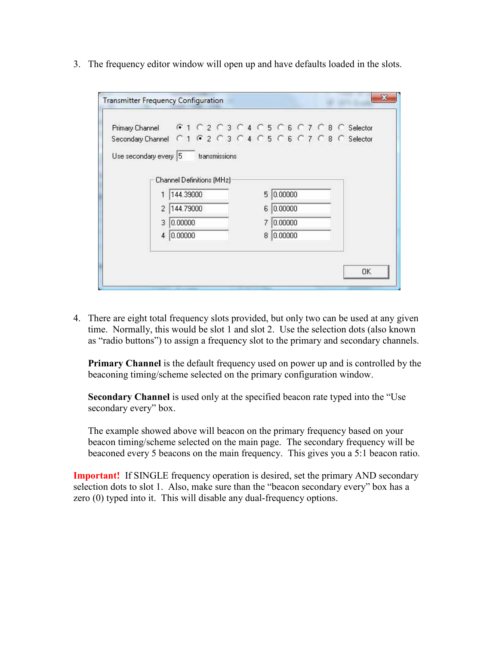3. The frequency editor window will open up and have defaults loaded in the slots.

| Primary Channel G 1 C 2 C 3 C 4 C 5 C 6 C 7 C 8 C Selector   |                           |  |  |  |  |    |         |  |  |  |  |
|--------------------------------------------------------------|---------------------------|--|--|--|--|----|---------|--|--|--|--|
| Secondary Channel C 1 G 2 C 3 C 4 C 5 C 6 C 7 C 8 C Selector |                           |  |  |  |  |    |         |  |  |  |  |
| Use secondary every 5 transmissions                          |                           |  |  |  |  |    |         |  |  |  |  |
|                                                              |                           |  |  |  |  |    |         |  |  |  |  |
|                                                              | Channel Definitions (MHz) |  |  |  |  |    |         |  |  |  |  |
|                                                              | 144.39000                 |  |  |  |  | 5. | 0.00000 |  |  |  |  |
| $\mathfrak{D}$                                               | 144.79000                 |  |  |  |  | 6  | 0.00000 |  |  |  |  |
| 3                                                            | 0.00000                   |  |  |  |  |    | 0.00000 |  |  |  |  |
| 4                                                            | 0.00000                   |  |  |  |  | 8  | 0.00000 |  |  |  |  |
|                                                              |                           |  |  |  |  |    |         |  |  |  |  |

4. There are eight total frequency slots provided, but only two can be used at any given time. Normally, this would be slot 1 and slot 2. Use the selection dots (also known as "radio buttons") to assign a frequency slot to the primary and secondary channels.

**Primary Channel** is the default frequency used on power up and is controlled by the beaconing timing/scheme selected on the primary configuration window.

**Secondary Channel** is used only at the specified beacon rate typed into the "Use secondary every" box.

The example showed above will beacon on the primary frequency based on your beacon timing/scheme selected on the main page. The secondary frequency will be beaconed every 5 beacons on the main frequency. This gives you a 5:1 beacon ratio.

**Important!** If SINGLE frequency operation is desired, set the primary AND secondary selection dots to slot 1. Also, make sure than the "beacon secondary every" box has a zero (0) typed into it. This will disable any dual-frequency options.